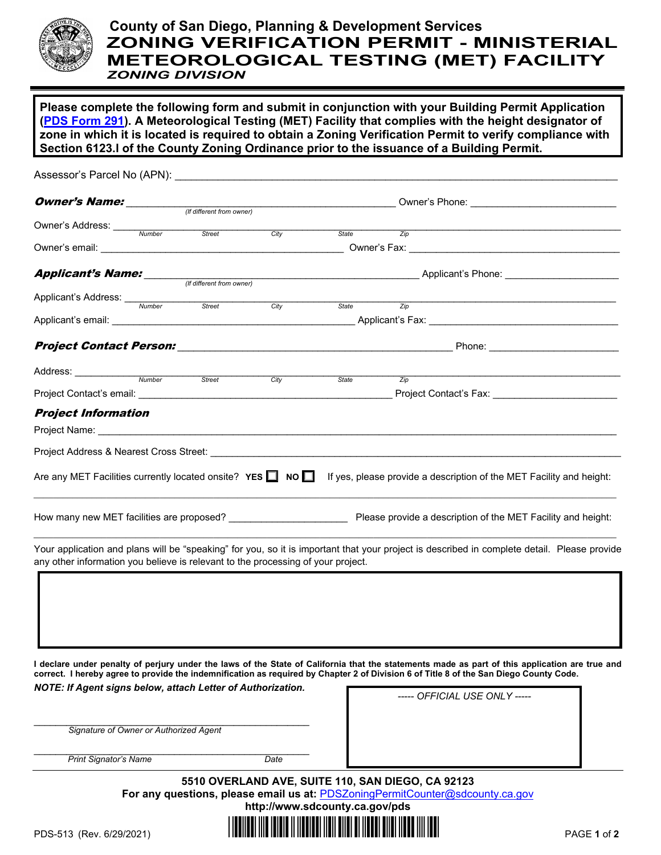

## **County of San Diego, Planning & Development Services ZONING VERIFICATION PERMIT - MINISTERIAL METEOROLOGICAL TESTING (MET) FACILITY** *ZONING DIVISION*

**Please complete the following form and submit in conjunction with your Building Permit Application [\(PDS Form 291\)](https://www.sandiegocounty.gov/content/dam/sdc/pds/docs/pds291.pdf). A Meteorological Testing (MET) Facility that complies with the height designator of zone in which it is located is required to obtain a Zoning Verification Permit to verify compliance with Section 6123.l of the County Zoning Ordinance prior to the issuance of a Building Permit.** 

|                                                                                  |  |                           | Owner's Phone: ________________________________ |             |                                                                                  |                                                                                                                                                                                                                                     |  |  |
|----------------------------------------------------------------------------------|--|---------------------------|-------------------------------------------------|-------------|----------------------------------------------------------------------------------|-------------------------------------------------------------------------------------------------------------------------------------------------------------------------------------------------------------------------------------|--|--|
|                                                                                  |  |                           |                                                 |             |                                                                                  |                                                                                                                                                                                                                                     |  |  |
| Owner's Address: <u>Number</u>                                                   |  | Street                    | City                                            | State State | $\overline{Zip}$                                                                 |                                                                                                                                                                                                                                     |  |  |
|                                                                                  |  |                           |                                                 |             |                                                                                  |                                                                                                                                                                                                                                     |  |  |
|                                                                                  |  |                           |                                                 |             |                                                                                  |                                                                                                                                                                                                                                     |  |  |
| Applicant's Name:                                                                |  |                           |                                                 |             | _____________________________________Applicant's Phone: ________________________ |                                                                                                                                                                                                                                     |  |  |
|                                                                                  |  | (If different from owner) |                                                 |             |                                                                                  |                                                                                                                                                                                                                                     |  |  |
|                                                                                  |  | Street                    | City                                            | State       | $\overline{Zip}$                                                                 |                                                                                                                                                                                                                                     |  |  |
|                                                                                  |  |                           |                                                 |             |                                                                                  |                                                                                                                                                                                                                                     |  |  |
|                                                                                  |  |                           |                                                 |             |                                                                                  |                                                                                                                                                                                                                                     |  |  |
|                                                                                  |  |                           |                                                 |             |                                                                                  |                                                                                                                                                                                                                                     |  |  |
|                                                                                  |  |                           |                                                 |             |                                                                                  |                                                                                                                                                                                                                                     |  |  |
| Address: Number Street City                                                      |  |                           |                                                 | State       | $\frac{2}{ip}$                                                                   |                                                                                                                                                                                                                                     |  |  |
|                                                                                  |  |                           |                                                 |             |                                                                                  | Project Contact's Fax: ________________________                                                                                                                                                                                     |  |  |
|                                                                                  |  |                           |                                                 |             |                                                                                  |                                                                                                                                                                                                                                     |  |  |
| <b>Project Information</b>                                                       |  |                           |                                                 |             |                                                                                  |                                                                                                                                                                                                                                     |  |  |
|                                                                                  |  |                           |                                                 |             |                                                                                  | Project Name: <u>Communications</u> Contract the Contract of Contract Contract of Contract Contract Contract Contract Contract Contract Contract Contract Contract Contract Contract Contract Contract Contract Contract Contract C |  |  |
|                                                                                  |  |                           |                                                 |             |                                                                                  |                                                                                                                                                                                                                                     |  |  |
|                                                                                  |  |                           |                                                 |             |                                                                                  |                                                                                                                                                                                                                                     |  |  |
|                                                                                  |  |                           |                                                 |             |                                                                                  | Are any MET Facilities currently located onsite? YES $\Box$ NO $\Box$ If yes, please provide a description of the MET Facility and height:                                                                                          |  |  |
|                                                                                  |  |                           |                                                 |             | Please provide a description of the MET Facility and height:                     |                                                                                                                                                                                                                                     |  |  |
|                                                                                  |  |                           |                                                 |             |                                                                                  |                                                                                                                                                                                                                                     |  |  |
| any other information you believe is relevant to the processing of your project. |  |                           |                                                 |             |                                                                                  | Your application and plans will be "speaking" for you, so it is important that your project is described in complete detail. Please provide                                                                                         |  |  |
|                                                                                  |  |                           |                                                 |             |                                                                                  |                                                                                                                                                                                                                                     |  |  |
|                                                                                  |  |                           |                                                 |             |                                                                                  |                                                                                                                                                                                                                                     |  |  |
|                                                                                  |  |                           |                                                 |             |                                                                                  |                                                                                                                                                                                                                                     |  |  |
|                                                                                  |  |                           |                                                 |             |                                                                                  |                                                                                                                                                                                                                                     |  |  |
|                                                                                  |  |                           |                                                 |             |                                                                                  |                                                                                                                                                                                                                                     |  |  |
|                                                                                  |  |                           |                                                 |             |                                                                                  |                                                                                                                                                                                                                                     |  |  |
|                                                                                  |  |                           |                                                 |             |                                                                                  |                                                                                                                                                                                                                                     |  |  |

*NOTE: If Agent signs below, attach Letter of Authorization.*

\_\_\_\_\_\_\_\_\_\_\_\_\_\_\_\_\_\_\_\_\_\_\_\_\_\_\_\_\_\_\_\_\_\_\_\_\_\_\_\_\_\_\_\_\_\_\_\_\_\_\_

\_\_\_\_\_\_\_\_\_\_\_\_\_\_\_\_\_\_\_\_\_\_\_\_\_\_\_\_\_\_\_\_\_\_\_\_\_\_\_\_\_\_\_\_\_\_\_\_\_\_\_

*----- OFFICIAL USE ONLY -----* 

 *Signature of Owner or Authorized Agent* 

**Print Signator's Name Date** Date

**5510 OVERLAND AVE, SUITE 110, SAN DIEGO, CA 92123 For any questions, please email us at: [PDSZoningPermitCounter@sdcounty.ca.gov](mailto:PDSZoningPermitCounter@sdcounty.ca.gov)**